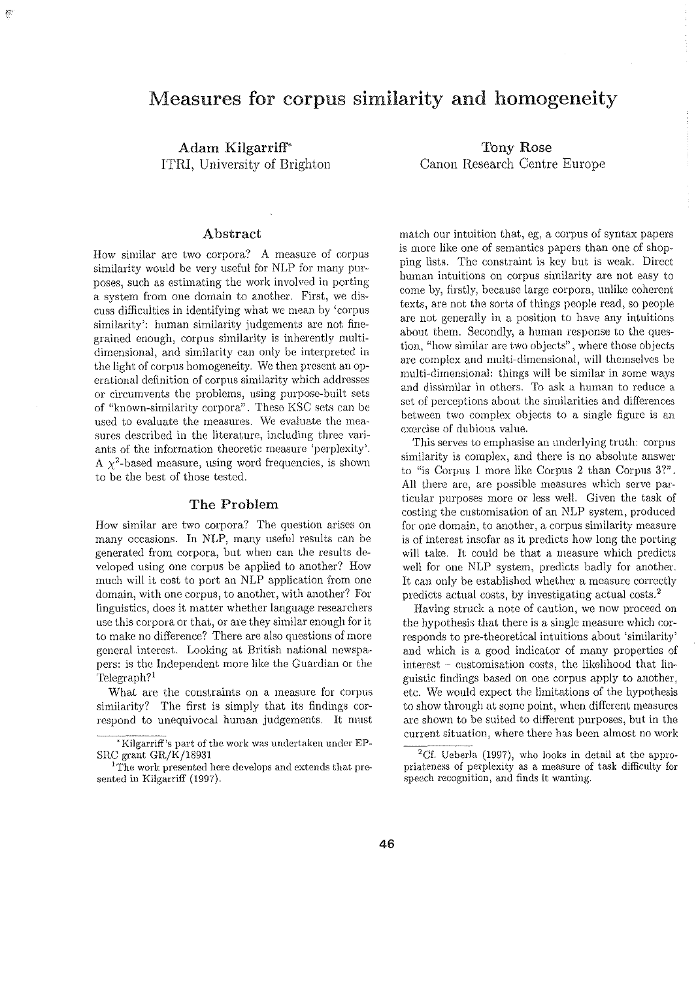# Measures for corpus similarity and homogeneity

Adam Kilgarriff' ITRI, University of Brighton

# Abstract

How similar are two corpora? A measure of corpus similarity would be very useful for NLP for many purposes, such as estimating the work involved in porting a system from one domain to another. First, we discuss difficulties in identifying what *we* mean by 'corpus similarity: human similarity judgements are not finegrained enough, corpus similarity is inherently multidimensional, and similarity can only be interpreted in the light of corpus homogeneity. *We* then present an operational definition of corpus similarity \vhich addresses or circumvents the problems, using purpose-built sets of "known-similarity corpora". These KSC sets can be used to evaluate the measures. We evaluate the measures described in the literature, including three variants of the information theoretic measure 'perplexity'. A  $\chi^2$ -based measure, using word frequencies, is shown to be the best of those tested.

# The Problem

How similar arc two corpora? The question arises on many occasions. In NLP, many useful results can be generated from corpora, but when can the results developed using one corpus be applied to another? How much will it cost to port an NLP application from one domain, with one corpus, to another, with another? For linguistics, does it matter whether language researchers use this corpora or that, or are they similar enough for it to make no difference? There are also questions of more general interest. Looking at British national newspapers: is the Independent more like the Guardian or the Telegraph?'

What are the constraints on a measure for corpus similarity? The first is simply that its findings correspond to unequivocal human judgements. It must

Tony Rose Canon Research Centre Europe

match our intuition that, eg, a corpus of syntax papers is more like one of semantics papers than one of shopping lists. The constraint is key but is weak. Direct human intuitions on corpus similarity are not easy to come by, firstly, because large corpora, unlike coherent texts, are not the sorts of things people read, so people are not generally in a position to have any intuitions about them. Secondly, a human response to the question, "how similar are two objects", where those objects are complex and multi-dimensional, will themselves be multi-dimensional: things will be similar in some ways and dissimilar in others. To ask a human to reduce a set of perceptions about the similarities and differences between two complex objects to a single figure is an exereise of dubious value.

This serves to emphasise an underlying truth: corpus similarity is complex, and there is no absolute answer to "is Corpus 1 more like Corpus 2 than Corpus 3?". All there arc, are possible measures which serve particular purposes more or less well. Given the task of costing the customisation of an NLP system, produced for one domain, to another, a corpus similarity measure is of interest insofar as it predicts how long the porting will take. It could be that a measure which predicts well for one NLP system, predicts badly for another. It can only be established whether a measure correctly predicts actual costs, by investigating actual costs. <sup>2</sup>

Having struck a note of caution, we now proceed on the hypothesis that there is a single measure which corresponds to pre-theoretical intuitions about 'similarity' and which is a good indicator of many properties of  $interest$  - customisation costs, the likelihood that linguistic findings based on one corpus apply to another, etc. We would expect the limitations of the hypothesis to show through at some point, when different measures are shown to be suited to different purposes, but in the current situation, where there has been almost no work

<sup>\*</sup> Kilgarriff's part of the work was undertaken under EP-

<sup>&</sup>lt;sup>1</sup>The work presented here develops and extends that presented in Kilgarriff (1997).

 ${}^{2}$ Cf. Ueberla (1997), who looks in detail at the appropriateness of perplexity as a measure of task difficulty for speech recognition, and finds it wanting.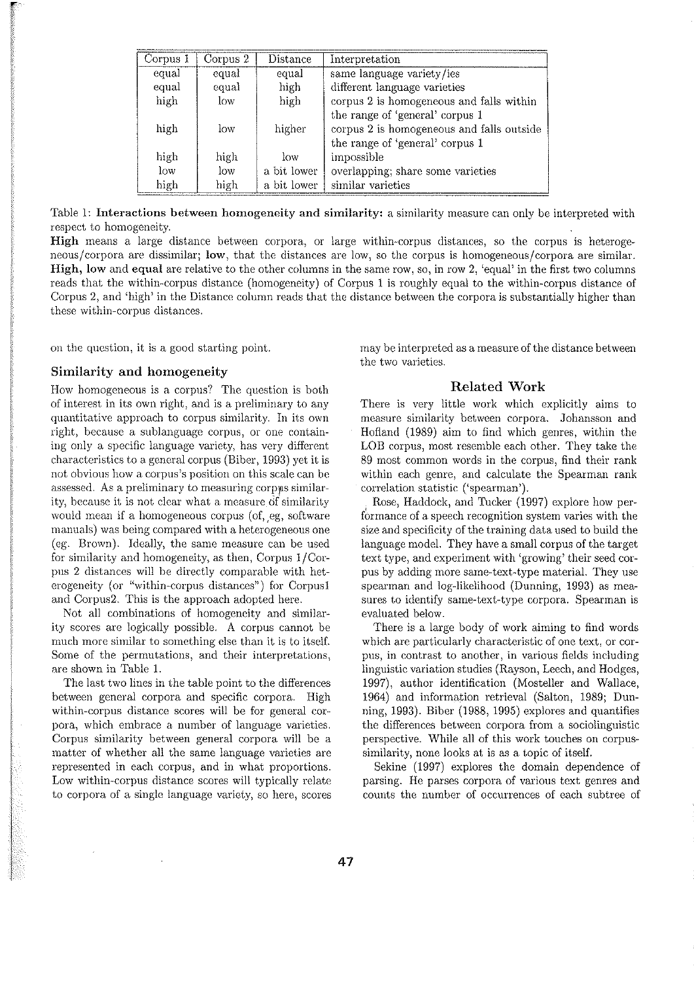| Corpus 1 | Corpus 2 | Distance    | Interpretation                            |
|----------|----------|-------------|-------------------------------------------|
| equal    | equal    | equal       | same language variety/ies                 |
| equal    | equal    | high        | different language varieties              |
| high     | low      | high        | corpus 2 is homogeneous and falls within  |
|          |          |             | the range of 'general' corpus 1           |
| high     | low      | higher      | corpus 2 is homogeneous and falls outside |
|          |          |             | the range of 'general' corpus 1           |
| high     | high     | low         | impossible                                |
| low      | low      | a bit lower | overlapping; share some varieties         |
| high     | high     | a bit lower | similar varieties                         |

Table I: Interactions between homogeneity and similarity: a similarity measure can only be interpreted with respect to homogeneity.

**High** means a large distance between corpora, or large within-corpus distances, so the corpus is heterogeneous/corpora are dissimilar; **low,** that the distances are low, so the corpus is homogeneous/corpora are similar. **High, low and <b>equal** are relative to the other columns in the same row, so, in row 2, 'equal' in the first two columns reads that the within-corpus distance (homogeneity) of Corpus I is roughly equal to the within-corpus distance of Corpus 2, and 'high' in the Distance column reads that the distance between the corpora is substantially higher than these within-corpus distances.

on the question, it is a good starting point.

#### Similarity and homogeneity

How homogeneous is a corpus? The question is both of interest in its own right, and is a preliminary to any quantitative approach to corpus similarity. In its own right, because a sublanguage corpus, or one containing only a specific language variety, has very different characteristics to a general corpus (Biber, 1993) yet it is not obvious how a corpus's position on this scale can be assessed. As a preliminary to measuring corpus similarity, because it is not clear what a measure of similarity would mean if a homogeneous corpus (of, eg, software manuals) was being compared with a heterogeneous one (eg. Brown). Ideally, the same measure can be used for similarity and homogeneity, as then, Corpus !/Corpus 2 distances will be directly comparable with heterogeneity (or "within-corpus distances") for Corpusl and Corpus2. This is the approach adopted here.

Not all combinations of homogeneity and similarity scores are logically possible. A corpus cannot be much more similar to something else than it is to itself. Some of the permutations, and their interpretations, are shown in Table 1.

The last two lines in the table point to the differences between general corpora and specific corpora. High within-corpus distance scores will be for general corpora) which embrace a number of language varieties. Corpus similarity between general corpora will be a matter of whether all the same language varieties are represented in each corpus, and in what proportions. Low within-corpus distance scores will typically relate to corpora of a single language variety, so here, scores may be interpreted as a measure of the distance between the two varieties.

# Related Work

There is very little work which explicitly aims to measure similarity between corpora. Johansson and Hofland (1989) aim to find which genres, within the LOB corpus, most resemble each other. They take the 89 most common words in the corpus, find their rank within each genre, and calculate the Spearman rank correlation statistic ('spearman').

Rose, Haddock, and Tucker (1997) explore how performance of a speech recognition system varies with the size and specificity of the training data used to build the language model. They have a small corpus of the target text type, and experiment with 'growing' their seed corpus by adding more same-text-type material. They use spearman and log-likelihood (Dunning, 1993) as measures to identify same-text-type corpora. Spearman is evaluated below.

There is a large body of work aiming to find words which are particularly characteristic of one text, or corpus) in contrast to another, in various fields including linguistic variation studies (Rayson, Leech, and Hodges, 1997), author identification (Mosteller and Wallace, 1964) and information retrieval (Salton, 1989; Dunning, 1993). Biber (1988, 1995) explores and quantifies the differences between corpora from a sociolinguistic perspective. While all of this work touches on corpussimilarity, none looks at is as a topic of itself.

Sekine (1997) explores the domain dependence of parsing. He parses corpora of various text genres and counts the number of occurrences of each subtree of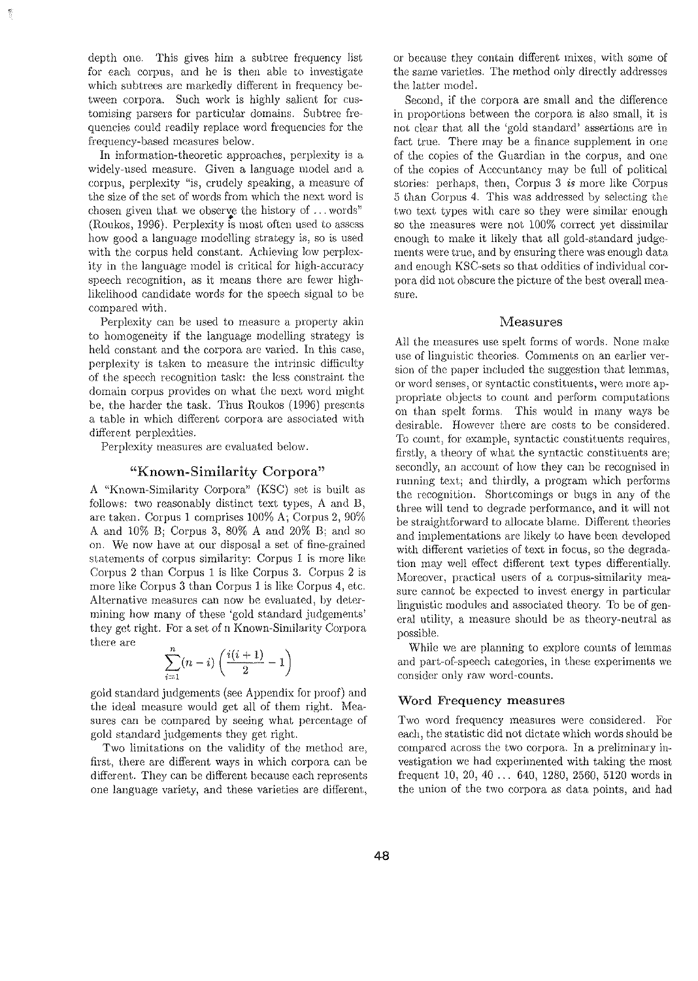depth one. This gives him a subtree frequency Jist for each corpus, and he is then able to investigate which subtrees are markedly different in frequency between corpora. Such work is highly salient for customising parsers for particular domains. Subtree frequencies could readily replace word frequencies for the frequency-based measures below.

In information-theoretic approaches, perplexity is a widely-used measure. Given a language model and a corpus, perplexity "is, crudely speaking, a measure of the size of the set of words from which the next word is chosen given that we observe the history of ... words'' • (Roukos, 1996). Perplexity is most often used to assess how good a language modelling strategy is, so is used with the corpus held constant. Achieving low perplexity in the language model is critical for high-accuracy speech recognition, as it means there are fewer highlikelihood candidate words for the speech signal to be compared with.

Perplexity can be used to measure a property akin to homogeneity if the language modelling strategy is held constant and the corpora are varied. In this case, perplexity is taken to measure the intrinsic difficulty of the speech recognition task: the less constraint the domain corpus provides on what the next word might be, the harder the task. Thus Roukos (1996) presents a table in which different corpora are associated \vith different perplexities.

Perplexity measures are evaluated below.

#### "Known-Similarity Corpora"

A "Known-Similarity Corpora" (KSC) set is built as follows: two reasonably distinct text types,  $A$  and  $B$ , arc taken. Corpus 1 comprises 100% A; Corpus 2, 90% A and 10% B; Corpus 3, 80% A and 20% B; and so on. *We* now have at our disposal a set of fine-grained statements of corpus similarity: Corpus 1 is more like Corpus 2 than Corpus 1 is like Corpus 3. Corpus 2 is more like Corpus  $3$  than Corpus  $1$  is like Corpus  $4$ , etc. Alternative measures can now be evaluated, by determining how many of these 'gold standard judgements' they get right. For a set of n Known-Similarity Corpora there are

$$
\sum_{i=1}^{n} (n-i) \left( \frac{i(i+1)}{2} - 1 \right)
$$

gold standard judgements (see Appendix for proof) and the ideal measure would get all of them right. Measures can be compared by seeing what percentage of gold standard judgements they get right.

Two limitations on the validity of the method are, first, there are different ways in which corpora can be different. They can be different because each represents one language variety, and these varieties are different, or because they contain different mixes, with some of the same varieties. The method only directly addresses the latter model.

Second, if the corpora are small and the difference in proportions between the corpora is also small, it is not clear that all the 'gold standard) assertions are in fact true. There may be a finance supplement in one of the copies of the Guardian in the corpus, and one of the copies of Acccuntancy may be full of political stories: perhaps, then, Corpus 3 *is* more like Corpus 5 than Corpus 4. This was addressed by selecting the two text types with care so they were similar enough so the measures were not 100% correct yet dissimilar enough to make it likely that all gold-standard judge· ments were true, and by ensuring there was enough data and enough KSG·sets so that oddities of individual corpora did not obscure the picture of the best overall measure.

#### Measures

All the measures use spelt forms of words. None make use of linguistic theories. Comments on an earlier version of the paper included the suggestion that lemmas, or word senses, or syntactic constituents, were more appropriate objects to count and perform computations on than spclt forms. This would in many ways be desirable. However there are costs to be considered. To count, for example, syntactic constituents requires, firstly, a theory of what the syntactic constituents are; secondly) an account of how they can be recognised in running text; and thirdly, a program which performs the recognition. Shortcomings or bugs in any of the three will tend to degrade performance, and it will not be straightforward to allocate blame. Different theories and implementations are likely to have been developed with different varieties of text in focus, so the degradation may well effect different text types differentially. Moreover, practical users of a corpus-similarity measure cannot be expected to invest energy in particular linguistic modules and associated theory. To be of general utility) a measure should be as theory-neutral as possible.

While *we* are planning to explore counts of lemmas and part-of-speech categories, in these experiments we consider only raw word-counts.

#### Word Frequency measures

Two word frequency measures were considered. For each, the statistic did not dictate which words should be compared across the two corpora. In a preliminary investigation we had experimented with taking the most frequent 10, 20, 40 ... 640, 1280, 2560, 5120 words in the union of the two corpora as data points, and had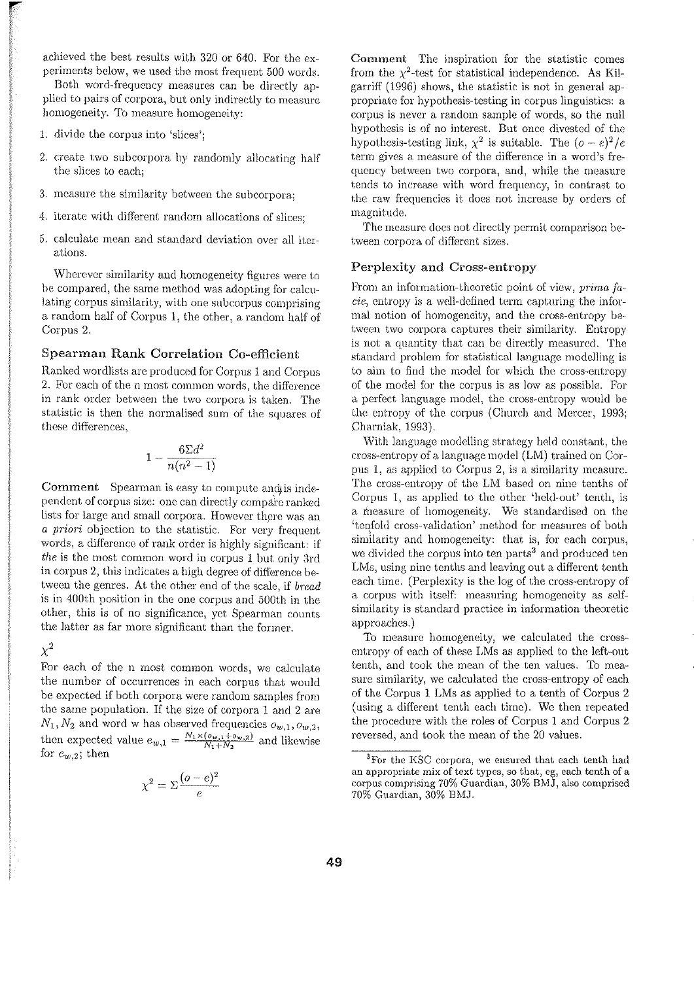achieved the best results with 320 or 640. For the experiments below, we used the most frequent 500 words.

Both word-frequency measures can be directly applied to pairs of corpora, but only indirectly to measure homogeneity. To measure homogeneity:

- L divide the eorpus into 'slices';
- 2. create two subcorpora by randomly allocating half the slices to each;
- 3. measure the similarity between the subcorpora;
- 4. iterate with different random allocations of slices;
- 5. calculate mean and standard deviation over all iterations.

Wherever similarity and homogeneity figures were to be compared, the same method was adopting for calculating corpus similarity, with one subcorpus comprising a random half of Corpus 1, the other, a random half of Corpus 2.

## Spearman Rank Correlation Co-efficient

Ranked wordlists are produced for Corpus 1 and Corpus 2. For each of the n most common words, the difference in rank order between the two corpora is taken. The statistic is then the normalised sum of the squares of these differences,

$$
1-\frac{6\Sigma d^2}{n(n^2-1)}
$$

Comment Spearman is easy to compute anchis independent of corpus size: one can directly compare ranked lists for large and small corpora. However there was an *a priori* objection to the statistic. For very frequent words, a difference of rank order is highly significant: if *the* is the most common word in corpus 1 but only 3rd in corpus 2, this indicates a high degree of difference between the genres. At the other end of the scale, if *bread* is in 400th position in the one corpus and 500th in the other, this is of no significance, yet Spearman counts the latter as far more significant than the former.

 $\chi^2$ 

For each of the n most common words, we calculate the number of occurrences in each corpus that would be expected if both corpora were random samples from the same population. If the size of corpora 1 and 2 are  $N_1, N_2$  and word w has observed frequencies  $o_{w,1}, o_{w,2}$ , then expected value  $e_{w,1} = \frac{N_1 \times (e_{w,1} + e_{w,2})}{N_1 + N_2}$  and likewise for  $e_{w,2}$ ; then

$$
\chi^2 = \Sigma \frac{(o-e)^2}{e}
$$

Comment The inspiration for the statistic comes from the  $\chi^2$ -test for statistical independence. As Kilgarriff (1996) shows, the statistic is not in general appropriate for hypothesis-testing in corpus linguistics: a corpus is never a random sample of words, so the null hypothesis is of no interest. But once divested of the hypothesis-testing link,  $\chi^2$  is suitable. The  $(o-e)^2/e$ term gives a measure of the difference in a word's frequency between two corpora, and, while the measure tends to increase with word frequency, in contrast to the raw frequencies it does not increase by orders of magnitude.

The measure docs not directly permit comparison between corpora of different sizes.

## Perplexity and Cross-entropy

From an information-theoretic point of view, *prima fa*cie, entropy is a well-defined term capturing the informal notion of homogeneity, and the cross-entropy be-· tween two corpora captures their similarity. Entropy is not a quantity that can be directly measured. The standard problem for statistical language modelling is to aim to find the model for which the cross-entropy of the model for the corpus is as low as possible. For a perfect language model, the cross-entropy would be the entropy of the corpus (Church and Mercer, 1993; Charniak, 1993).

With language modelling strategy held constant, the cross-entropy of a language model (LM) trained on Corpus 1, as applied to Corpus 2, is a similarity measure. The cross-entropy of the LM based on nine tenths of Corpus 1, as applied to the other 'held-out' tenth, is a measure of homogeneity. We standardised on the 'teqfold cross-validation' method for measures of both similarity and homogeneity: that is, for each corpus, we divided the corpus into ten parts<sup>3</sup> and produced ten LMs, using nine tenths and leaving out a different tenth each time. (Perplexity is the log of the cross-entropy of a corpus with itself: measuring homogeneity as selfsimilarity is standard practice in information theoretic approaches.)

To measure homogeneity, we calculated the crossentropy of each of these LMs as applied to the left-out tenth, and took the mean of the ten values. To measure similarity, we calculated the cross-entropy of each of the Corpus 1 LMs as applied to a tenth of Corpus 2 (using a different tenth each time). We then repeated the procedure with the roles of Corpus 1 and Corpus 2 reversed, and took the mean of the 20 values.

<sup>&</sup>lt;sup>3</sup>For the KSC corpora, we ensured that each tenth had an appropriate mix of text types, so that, eg, each tenth of a corpus comprising 70% Guardian, 30% BMJ, also comprised 70% Guardian, 30% BMJ.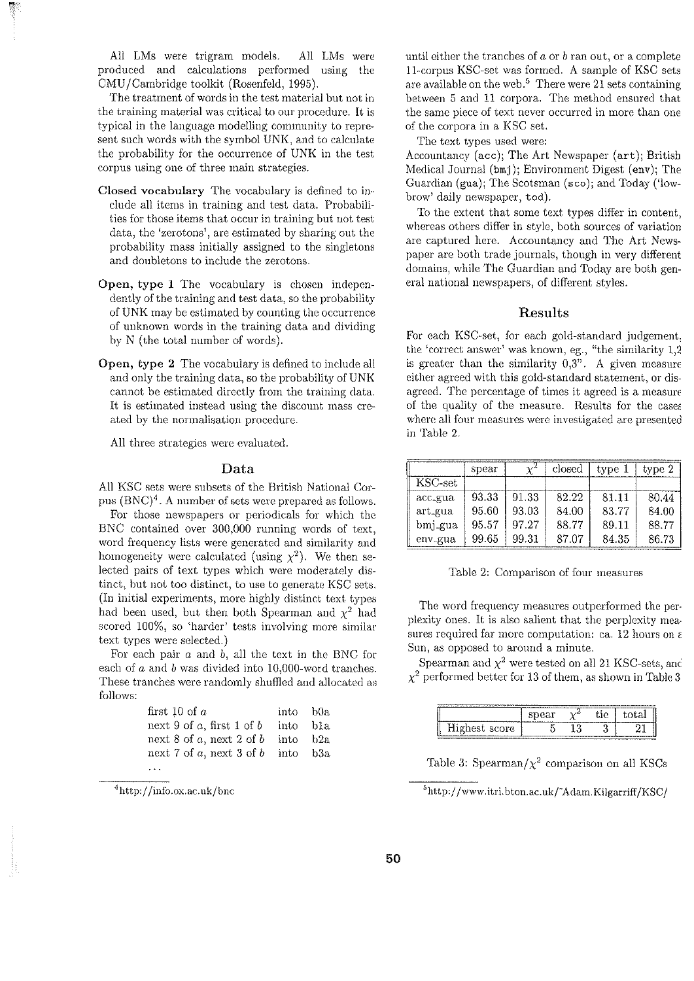All LMs were trigram models. All LMs were produced and calculations performed using the CMU /Cambridge toolkit (Rosenfeld, 1995).

The treatment of words in the test material but not in the training material was critical to our procedure. It is typical in the language modelliug community to represent such words with the symbol UNK, and to calculate the probability for the occurrence of UNK in the test corpus using one of three main strategies.

- Closed vocabulary The vocabulary is defined to in-· elude all items in training and test data. Probabilities for those items that occur in training but not test data, the 'zerotons', are estimated by sharing out the probability mass initially assigned to the singletons and doubletons to include the zerotons.
- Open, type 1 The vocabulary is chosen independently of the training and test data, so the probability of UNK may be estimated by counting the occurrence of unknown words in the training data and dividing by N (the total number of words).
- Open, type 2 The vocabulary is defined to include all and only the training data, so the probability of UNK cannot be estimated directly from the training data. It is estimated instead using the discount mass created by the normalisation procedure.

All three strategies were evaluated.

## Data

All KSC sets were subsets of the British National Corpus (BNC)'. A number of sets were prepared as follows.

For those newspapers or periodicals for which the BNC contained over 300,000 running words of text, word frequency lists were generated and similarity and homogeneity were calculated (using  $\chi^2$ ). We then selected pairs of text types which were modemtely distinct, but not too distinct, to use to generate KSC sets. (In initial experiments, more highly distinct text types had been used, but then both Spearman and  $\chi^2$  had scored 100%, so 'harder' tests involving more similar text types were selected.)

For each pair *a* and b, all the text in the BNC for each of  $a$  and  $b$  was divided into 10,000-word tranches. These tranches were randomly shuffled and allocated as follows:

| first 10 of $a$             | into b0a |     |
|-----------------------------|----------|-----|
| next 9 of a, first 1 of $b$ | into     | b1a |
| next 8 of a, next 2 of $b$  | into     | b2a |
| next 7 of a, next 3 of $b$  | into b3a |     |
|                             |          |     |

 $4$ http://info.ox.ac.uk/bnc

until either the tranches of  $a$  or  $b$  ran out, or a complete 11-corpus KSC-set was formed. A sample of KSC sets are available on the web.<sup>5</sup> There were 21 sets containing between 5 and 11 corpora. The method ensured that the same piece of text never occurred in more than one of the corpora in a KSC set.

The text types used were:

Accountancy (ace); The Art Newspaper (art); British Medical Journal (bmj); Environment Digest (env); The Guardian (gua); The Scotsman (sco); and Today ('lowbrow' daily newspaper, tod).

To the extent that some text types differ in content, whereas others differ in style, both sources of variation are captured here. Accountancy and The Art Newspaper are both trade journals, though in very different domains, while The Guardian and Today are both general national newspapers, of different styles.

## Results

For each KSC-set, for each gold-standard judgement the 'correct answer' was known, eg., "the similarity 1,2" is greater than the similarity  $0,3$ ". A given measure either agreed with this gold-standard statement, or disagreed. The percentage of times it agreed is a measun of the quality of the measure. Results for the cases where all four measures were investigated are presented in Table 2.

|                       | spear |       | closed | type 1 | type 2 |
|-----------------------|-------|-------|--------|--------|--------|
| $_{\mathrm{KSC-set}}$ |       |       |        |        |        |
| acc_gua               | 93.33 | 91.33 | 82.22  | 81.11  | 80.44  |
| art_gua               | 95.60 | 93.03 | 84.00  | 83.77  | 84.00  |
| bmj_gua               | 95.57 | 97.27 | 88.77  | 89.11  | 88.77  |
| env_gua               | 99.65 | 99.31 | 87.07  | 84.35  | 86.73  |

Table 2: Comparison of four measures

The word frequency measures outperformed the per· plexity ones. It is also salient that the perplexity mea· sures required far more computation: ca. 12 hours on *c*  Sun, as opposed to around a minute.

Spearman and  $\chi^2$  were tested on all 21 KSC-sets, and  $\chi^2$  performed better for 13 of them, as shown in Table 3

| ---    | .<br>۳۰ تا ۱۵۰۰ |  |  |
|--------|-----------------|--|--|
| היוריי |                 |  |  |

Table 3: Spearman/ $\chi^2$  comparison on all KSCs

<sup>5</sup>http://www.itri.bton.ac.uk/~Adam.Kilgarriff/KSC/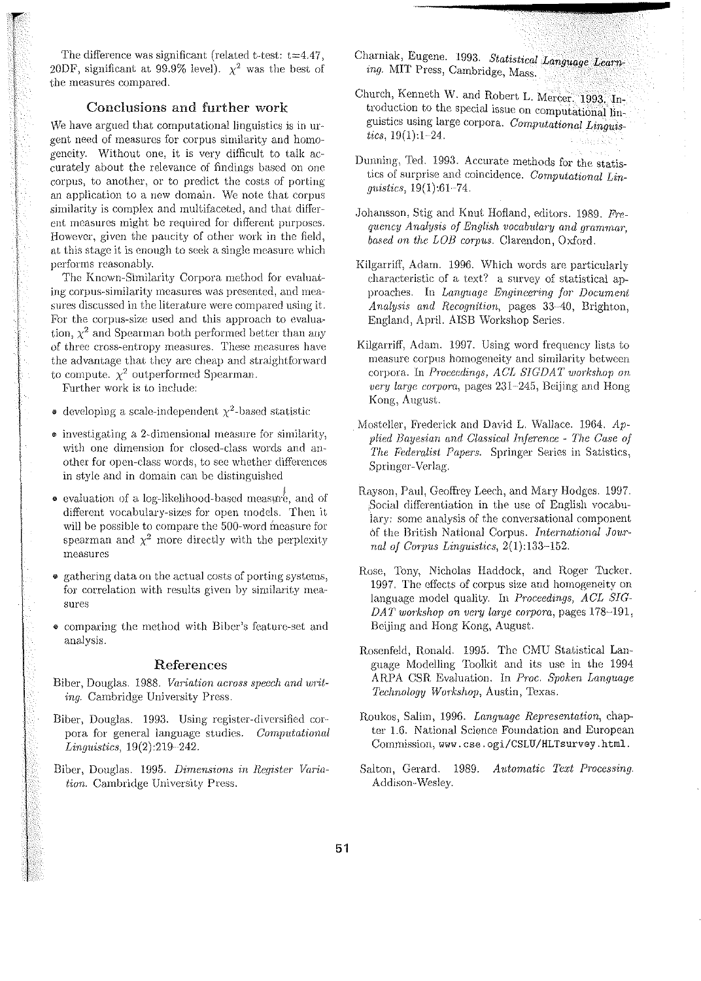The difference was significant (related t-test:  $t=4.47$ , 20DF, significant at 99.9% level).  $\chi^2$  was the best of the measures compared.

## Conclusions and further work

We have argued that computational linguistics is in urgent need of measures for corpus similarity and homogeneity. Without one, it is very difficult to talk accurately about the relevance of findings based on one corpus) to another, or to predict the costs of porting an application to a new domain. We note that corpus similarity is complex and multifaceted, and that different measures might be required for different purposes. However, given the paucity of other work in the field, at this stage it is enough to seek a single measure which performs reasonably.

The Known-Similarity Corpora method for evaluating corpus-similarity measures was presented, and measures discussed in the literature were compared using it. For the corpus-size used and this approach to evaluation,  $\chi^2$  and Spearman both performed better than any of three cross-entropy measures. These measures have the advantage that they are cheap and straightforward to compute.  $\chi^2$  outperformed Spearman.

Further work is to include:

- developing a scale-independent  $\chi^2$ -based statistic
- $\bullet$  investigating a 2-dimensional measure for similarity, with one dimension for closed-class words and another for open-class words, to see whether differences in style and in domain can be distinguished
- **e** evaluation of a log-likelihood-based measure, and of different vocabulary-sizes for open models. Then it will be possible to compare the 500-word measure for spearman and  $\chi^2$  more directly with the perplexity measures
- gathering data on the actual costs of porting systems, for correlation with results given by similarity measures
- comparing the method with Biber's feature-set and analysis.

#### References

- Biber, Douglas. 1988. *Variation across speech and writing.* Cambridge University Press.
- Biber, Douglas. 1993. Using register-diversified corpora for general language studies. *Computational Linguistics,* 19(2):219-242.
- Biber, Douglas. 1995. *Dimensions in Register Variation.* Cambridge University Press.
- Charniak, Eugene. 1993. *Statistical Language Learning.* MIT Press, Cambridge, Mass.
- Church, Kenneth W. and Robert L. Mercer. 1993. Introduction to the special issue on computational linguisties using large corpora. *Computational Linguistics,* 19(1):1-24.
- Dunning, Ted. 1993. Accurate methods for the statistics of surprise and coincidence. *Computational Linguistics*, 19(1):61-74.
- Johansson, Stig and Knut Hofland, editors. 1989. *Frequency Analysis of English vocabulary and grammar. based on the LOB corpus.* Clarendon, Oxford.
- Kilgarrifl', Adam. 1996. Which words are particularly chara.cteristie of a text? a survey of statistical approaches. In *Language Engineering for Document Analysis and Recognition*, pages 33-40, Brighton, England, April. AISB Workshop Series.
- Kilgarriff, Adam. 1997. Using word frequency lists to measure corpus homogeneity and similarity between corpora. In *Proceedings, ACL SIGDAT workshop on very large corpora*, pages 231-245, Beijing and Hong Kong, August.
- Mosteller, Frederick and David L. Wallace. 1964. *Applied Bayesian and Classical Inference - The Case of The Federalist Papers.* Springer Series in Satistics, Springer-Verlag.
- Rayson, Paul, Geoffrey Leech, and Mary Hodges. 1997. Social differentiation in the use of English vocabulary: some analysis of the conversational component of the British National Corpus. *International Journal of Corpus Linguistics,* 2(1):133-152.
- Rose, Tony, Nicholas Haddock, and Roger Tucker. 1997. The effects of corpus size and homogeneity on language model quality. In *Proceedings, ACL SIG-DAT workshop on very large corpora, pages 178-191,* Beijing and Hong Kong) August.
- Rosenfeld, Ronald. 1995. The CMU Statistical Language Modelling Toolkit and its usc in the 1994 ARPA CSR Evaluation. In *Proc. Spoken Language Technology Workshop, Austin, Texas.*
- Roukos, Salim, 1996. *Language Representation*, chapter 1.6. National Science Foundation and European Commission, www.cse.ogi/CSLU/HLTsurvey.html.
- Salton, Gerard. 1989. *Automatic Text Processing.*  Addison-Wesley.